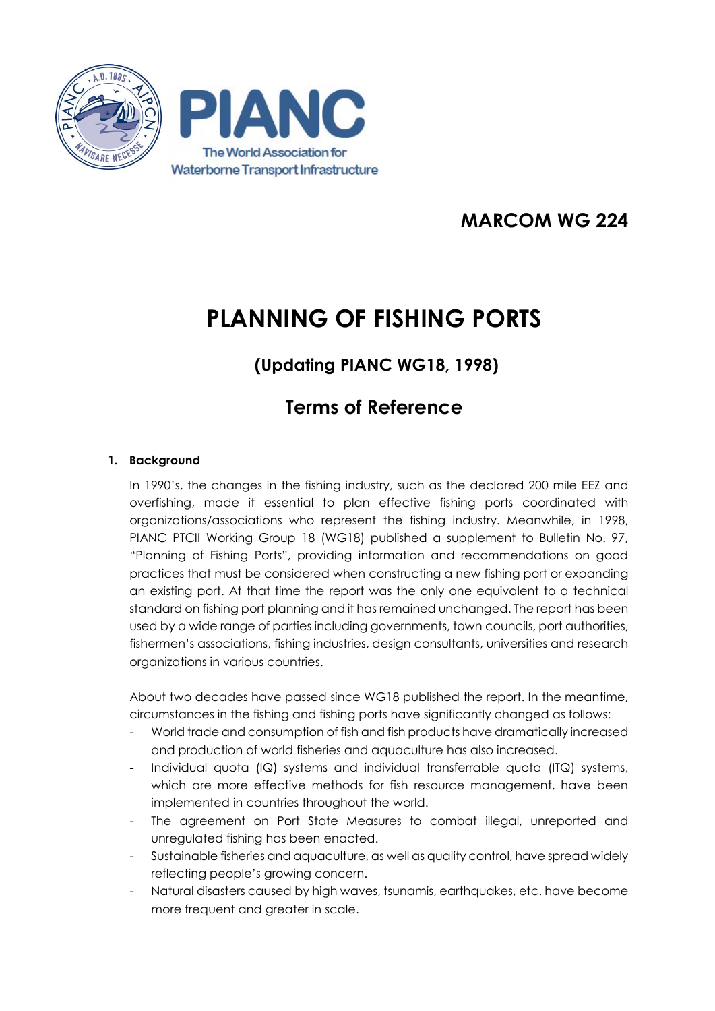

### **MARCOM WG 224**

# **PLANNING OF FISHING PORTS**

### **(Updating PIANC WG18, 1998)**

## **Terms of Reference**

### **1. Background**

In 1990's, the changes in the fishing industry, such as the declared 200 mile EEZ and overfishing, made it essential to plan effective fishing ports coordinated with organizations/associations who represent the fishing industry. Meanwhile, in 1998, PIANC PTCII Working Group 18 (WG18) published a supplement to Bulletin No. 97, "Planning of Fishing Ports", providing information and recommendations on good practices that must be considered when constructing a new fishing port or expanding an existing port. At that time the report was the only one equivalent to a technical standard on fishing port planning and it has remained unchanged. The report has been used by a wide range of parties including governments, town councils, port authorities, fishermen's associations, fishing industries, design consultants, universities and research organizations in various countries.

About two decades have passed since WG18 published the report. In the meantime, circumstances in the fishing and fishing ports have significantly changed as follows:

- World trade and consumption of fish and fish products have dramatically increased and production of world fisheries and aquaculture has also increased.
- Individual quota (IQ) systems and individual transferrable quota (ITQ) systems, which are more effective methods for fish resource management, have been implemented in countries throughout the world.
- The agreement on Port State Measures to combat illegal, unreported and unregulated fishing has been enacted.
- Sustainable fisheries and aquaculture, as well as quality control, have spread widely reflecting people's growing concern.
- Natural disasters caused by high waves, tsunamis, earthquakes, etc. have become more frequent and greater in scale.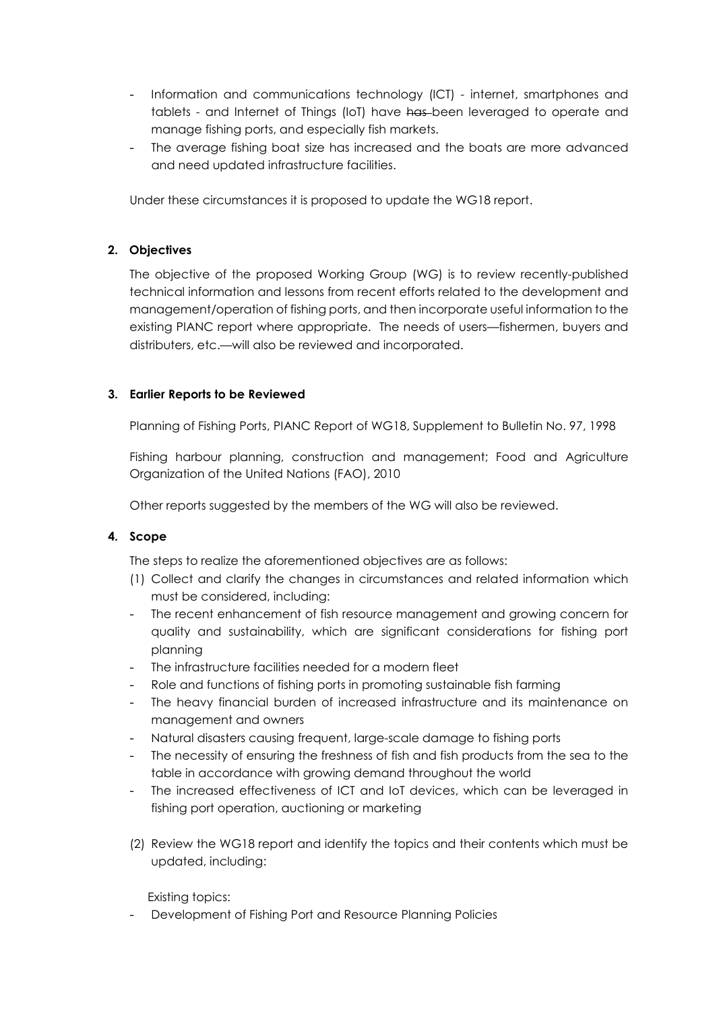- Information and communications technology (ICT) internet, smartphones and tablets - and Internet of Things (IoT) have has been leveraged to operate and manage fishing ports, and especially fish markets.
- The average fishing boat size has increased and the boats are more advanced and need updated infrastructure facilities.

Under these circumstances it is proposed to update the WG18 report.

#### **2. Objectives**

The objective of the proposed Working Group (WG) is to review recently-published technical information and lessons from recent efforts related to the development and management/operation of fishing ports, and then incorporate useful information to the existing PIANC report where appropriate. The needs of users—fishermen, buyers and distributers, etc.—will also be reviewed and incorporated.

#### **3. Earlier Reports to be Reviewed**

Planning of Fishing Ports, PIANC Report of WG18, Supplement to Bulletin No. 97, 1998

Fishing harbour planning, construction and management; Food and Agriculture Organization of the United Nations (FAO), 2010

Other reports suggested by the members of the WG will also be reviewed.

#### **4. Scope**

The steps to realize the aforementioned objectives are as follows:

- (1) Collect and clarify the changes in circumstances and related information which must be considered, including:
- The recent enhancement of fish resource management and growing concern for quality and sustainability, which are significant considerations for fishing port planning
- The infrastructure facilities needed for a modern fleet
- Role and functions of fishing ports in promoting sustainable fish farming
- The heavy financial burden of increased infrastructure and its maintenance on management and owners
- Natural disasters causing frequent, large-scale damage to fishing ports
- The necessity of ensuring the freshness of fish and fish products from the sea to the table in accordance with growing demand throughout the world
- The increased effectiveness of ICT and IoT devices, which can be leveraged in fishing port operation, auctioning or marketing
- (2) Review the WG18 report and identify the topics and their contents which must be updated, including:

Existing topics:

Development of Fishing Port and Resource Planning Policies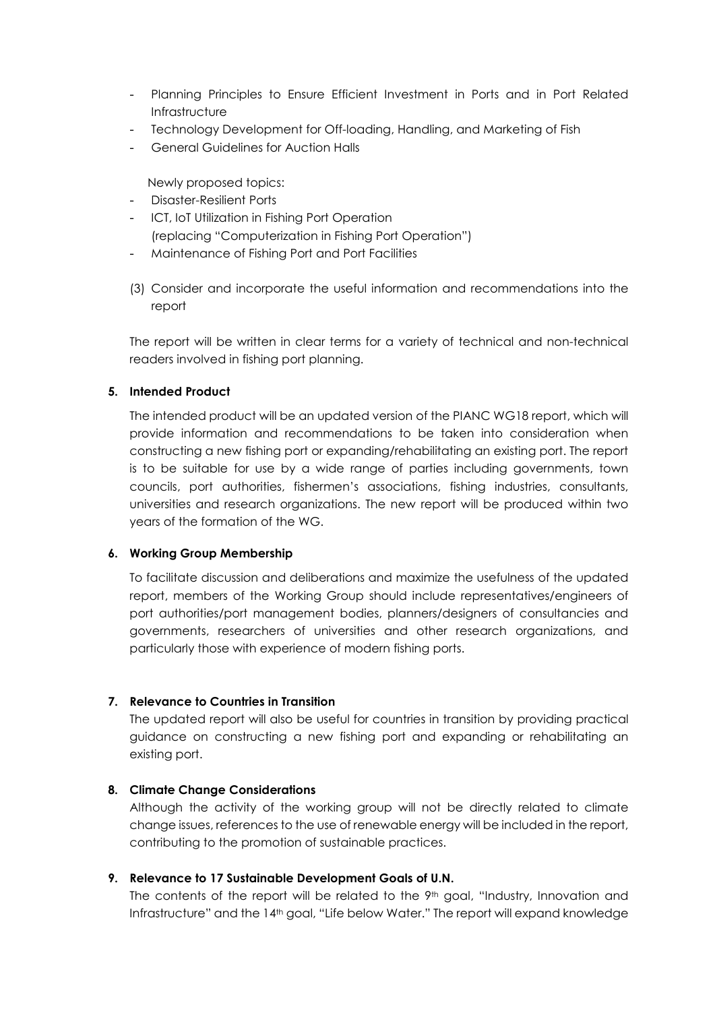- Planning Principles to Ensure Efficient Investment in Ports and in Port Related Infrastructure
- Technology Development for Off-loading, Handling, and Marketing of Fish
- General Guidelines for Auction Halls

Newly proposed topics:

- Disaster-Resilient Ports
- ICT, IoT Utilization in Fishing Port Operation (replacing "Computerization in Fishing Port Operation")
- Maintenance of Fishing Port and Port Facilities
- (3) Consider and incorporate the useful information and recommendations into the report

The report will be written in clear terms for a variety of technical and non-technical readers involved in fishing port planning.

#### **5. Intended Product**

The intended product will be an updated version of the PIANC WG18 report, which will provide information and recommendations to be taken into consideration when constructing a new fishing port or expanding/rehabilitating an existing port. The report is to be suitable for use by a wide range of parties including governments, town councils, port authorities, fishermen's associations, fishing industries, consultants, universities and research organizations. The new report will be produced within two years of the formation of the WG.

#### **6. Working Group Membership**

To facilitate discussion and deliberations and maximize the usefulness of the updated report, members of the Working Group should include representatives/engineers of port authorities/port management bodies, planners/designers of consultancies and governments, researchers of universities and other research organizations, and particularly those with experience of modern fishing ports.

#### **7. Relevance to Countries in Transition**

The updated report will also be useful for countries in transition by providing practical guidance on constructing a new fishing port and expanding or rehabilitating an existing port.

#### **8. Climate Change Considerations**

Although the activity of the working group will not be directly related to climate change issues, references to the use of renewable energy will be included in the report, contributing to the promotion of sustainable practices.

#### **9. Relevance to 17 Sustainable Development Goals of U.N.**

The contents of the report will be related to the 9<sup>th</sup> goal, "Industry, Innovation and Infrastructure" and the 14th goal, "Life below Water." The report will expand knowledge